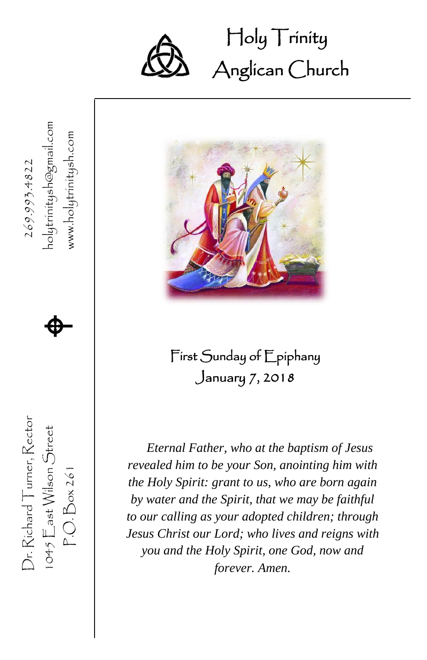

Holy Trinity Ĩ Anglican Church



## First Sunday of Epiphany January 7, 2018

*Eternal Father, who at the baptism of Jesus revealed him to be your Son, anointing him with the Holy Spirit: grant to us, who are born again by water and the Spirit, that we may be faithful to our calling as your adopted children; through Jesus Christ our Lord; who lives and reigns with you and the Holy Spirit, one God, now and forever. Amen.*

1045  $\mathsf{E}$ ast Wilson Street  $\bigoplus$ www.holytrinitysh.com P.O. Box 261 www.holytrinitysh.com 269.993.4822  $\spadesuit$ 

Dr. Richard Turner, Rector

 $1045$   $E$  ast Wilson Street  $P.O.Box261$ 

Dr. Richard Turner, Rector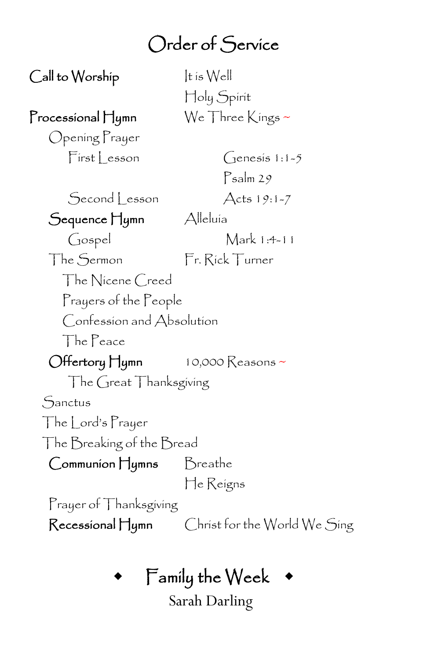## Order of Service

 $\mathsf{Call}$  to Worship  $\qquad \qquad$  It is Well

Processional Hymn  $\mathbb{W}_{e}$  Three Kings ~

Opening Prayer

Holy Spirit

 $First|$  esson  $Genes[i:1-5]$ Psalm 29

Second Lesson Acts 19:1-7

Sequence Hymn Alleluía

Gospel Mark 1:4-11

The Sermon Fr. Rick Turner

The Nicene Creed

Prayers of the People

Confession and Absolution

The Peace

 $\bigcirc$  Hertory Hymn 10,000 Reasons ~

The Great Thanksgiving

**Sanctus** 

The Lord's Prayer

The Breaking of the Bread

Communion Hymns Breathe

He Reigns

Prayer of Thanksgiving

Recessional Hymn Christ for the World We Sing

## Family the Week

Sarah Darling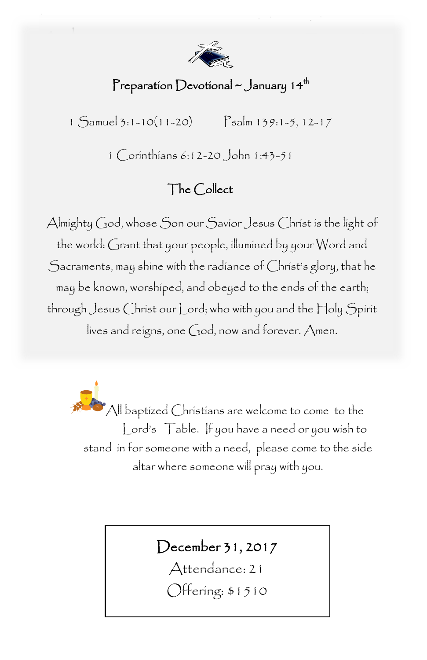

#### Preparation Devotional ~ January 14<sup>th</sup>

1 Samuel 3:1-10(11-20) Psalm 139:1-5, 12-17

1 Corinthians 6:12-20 John 1:43-51

#### The Collect

Almighty God, whose Son our Savior Jesus Christ is the light of the world: Grant that your people, illumined by your Word and Sacraments, may shine with the radiance of Christ's glory, that he may be known, worshiped, and obeyed to the ends of the earth; through Jesus Christ our Lord; who with you and the Holy Spirit lives and reigns, one God, now and forever. Amen.

> All baptized Christians are welcome to come to the Lord's Table. If you have a need or you wish to stand in for someone with a need, please come to the side altar where someone will pray with you.

### December 31, 2017

Attendance: 21 Offering: \$1510